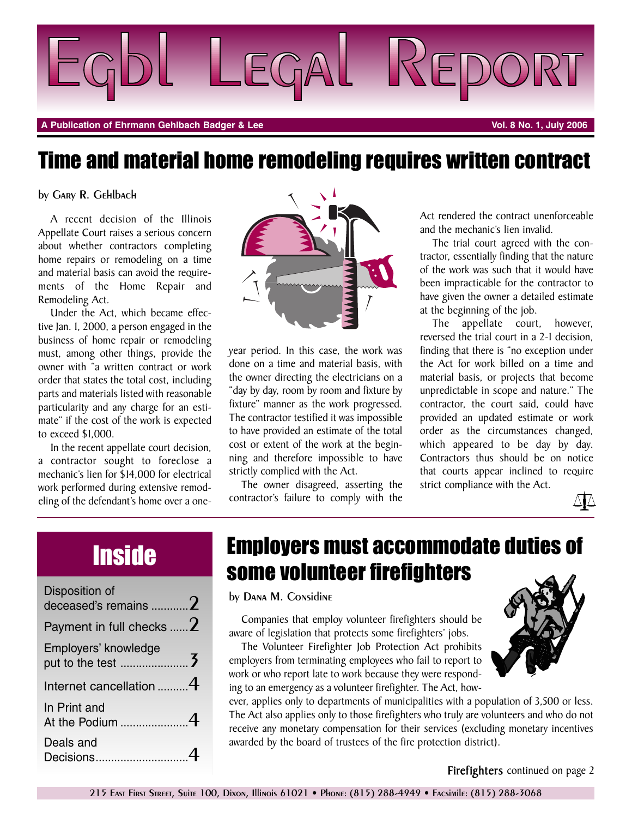

**A Publication of Ehrmann Gehlbach Badger & Lee Vol. 8 No. 1, July 2006**

### Time and material home remodeling requires written contract

by Gary R. Gehlbach

A recent decision of the Illinois Appellate Court raises a serious concern about whether contractors completing home repairs or remodeling on a time and material basis can avoid the requirements of the Home Repair and Remodeling Act.

Under the Act, which became effective Jan. 1, 2000, a person engaged in the business of home repair or remodeling must, among other things, provide the owner with "a written contract or work order that states the total cost, including parts and materials listed with reasonable particularity and any charge for an estimate" if the cost of the work is expected to exceed \$1,000.

In the recent appellate court decision, a contractor sought to foreclose a mechanic's lien for \$14,000 for electrical work performed during extensive remodeling of the defendant's home over a one-



year period. In this case, the work was done on a time and material basis, with the owner directing the electricians on a "day by day, room by room and fixture by fixture" manner as the work progressed. The contractor testified it was impossible to have provided an estimate of the total cost or extent of the work at the beginning and therefore impossible to have strictly complied with the Act.

The owner disagreed, asserting the contractor's failure to comply with the Act rendered the contract unenforceable and the mechanic's lien invalid.

The trial court agreed with the contractor, essentially finding that the nature of the work was such that it would have been impracticable for the contractor to have given the owner a detailed estimate at the beginning of the job.

The appellate court, however, reversed the trial court in a 2-1 decision, finding that there is "no exception under the Act for work billed on a time and material basis, or projects that become unpredictable in scope and nature." The contractor, the court said, could have provided an updated estimate or work order as the circumstances changed, which appeared to be day by day. Contractors thus should be on notice that courts appear inclined to require strict compliance with the Act.



## **Inside**

| Disposition of<br>deceased's remains $2$ |  |
|------------------------------------------|--|
| Payment in full checks $ 2$              |  |
| Employers' knowledge                     |  |
| Internet cancellation $4$                |  |
| In Print and                             |  |
| Deals and<br>Decisions                   |  |

### Employers must accommodate duties of some volunteer firefighters

by Dana M. Considine

Companies that employ volunteer firefighters should be aware of legislation that protects some firefighters' jobs.

The Volunteer Firefighter Job Protection Act prohibits employers from terminating employees who fail to report to work or who report late to work because they were responding to an emergency as a volunteer firefighter. The Act, how-

ever, applies only to departments of municipalities with a population of 3,500 or less. The Act also applies only to those firefighters who truly are volunteers and who do not receive any monetary compensation for their services (excluding monetary incentives awarded by the board of trustees of the fire protection district).



**Firefighters** continued on page 2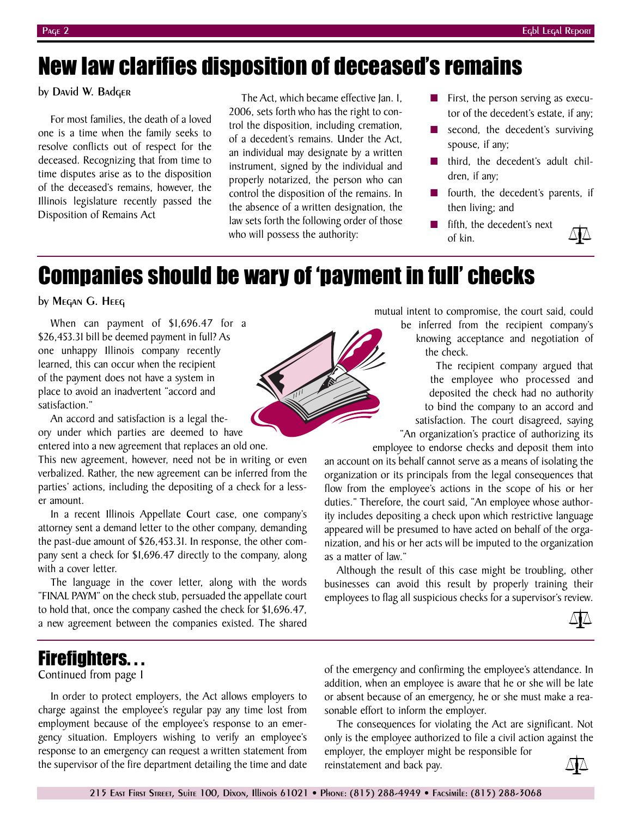### New law clarifies disposition of deceased's remains

### by David W. Badger

For most families, the death of a loved one is a time when the family seeks to resolve conflicts out of respect for the deceased. Recognizing that from time to time disputes arise as to the disposition of the deceased's remains, however, the Illinois legislature recently passed the Disposition of Remains Act

The Act, which became effective Jan. 1, 2006, sets forth who has the right to control the disposition, including cremation, of a decedent's remains. Under the Act, an individual may designate by a written instrument, signed by the individual and properly notarized, the person who can control the disposition of the remains. In the absence of a written designation, the law sets forth the following order of those who will possess the authority:

- First, the person serving as executor of the decedent's estate, if any;
- second, the decedent's surviving spouse, if any;
- third, the decedent's adult children, if any;
- fourth, the decedent's parents, if then living; and
- fifth, the decedent's next of kin.



### Companies should be wary of 'payment in full' checks

### by Megan G. Heeg

When can payment of \$1,696.47 for a \$26,453.31 bill be deemed payment in full? As one unhappy Illinois company recently learned, this can occur when the recipient of the payment does not have a system in place to avoid an inadvertent "accord and satisfaction."

An accord and satisfaction is a legal theory under which parties are deemed to have

entered into a new agreement that replaces an old one.

This new agreement, however, need not be in writing or even verbalized. Rather, the new agreement can be inferred from the parties' actions, including the depositing of a check for a lesser amount.

In a recent Illinois Appellate Court case, one company's attorney sent a demand letter to the other company, demanding the past-due amount of \$26,453.31. In response, the other company sent a check for \$1,696.47 directly to the company, along with a cover letter.

The language in the cover letter, along with the words "FINAL PAYM" on the check stub, persuaded the appellate court to hold that, once the company cashed the check for \$1,696.47, a new agreement between the companies existed. The shared

mutual intent to compromise, the court said, could

be inferred from the recipient company's knowing acceptance and negotiation of the check.

The recipient company argued that the employee who processed and deposited the check had no authority to bind the company to an accord and satisfaction. The court disagreed, saying "An organization's practice of authorizing its

employee to endorse checks and deposit them into an account on its behalf cannot serve as a means of isolating the organization or its principals from the legal consequences that flow from the employee's actions in the scope of his or her duties." Therefore, the court said, "An employee whose authority includes depositing a check upon which restrictive language appeared will be presumed to have acted on behalf of the organization, and his or her acts will be imputed to the organization as a matter of law."

Although the result of this case might be troubling, other businesses can avoid this result by properly training their employees to flag all suspicious checks for a supervisor's review.



### Firefighters. . .

### Continued from page 1

In order to protect employers, the Act allows employers to charge against the employee's regular pay any time lost from employment because of the employee's response to an emergency situation. Employers wishing to verify an employee's response to an emergency can request a written statement from the supervisor of the fire department detailing the time and date

of the emergency and confirming the employee's attendance. In addition, when an employee is aware that he or she will be late or absent because of an emergency, he or she must make a reasonable effort to inform the employer.

The consequences for violating the Act are significant. Not only is the employee authorized to file a civil action against the

employer, the employer might be responsible for reinstatement and back pay.

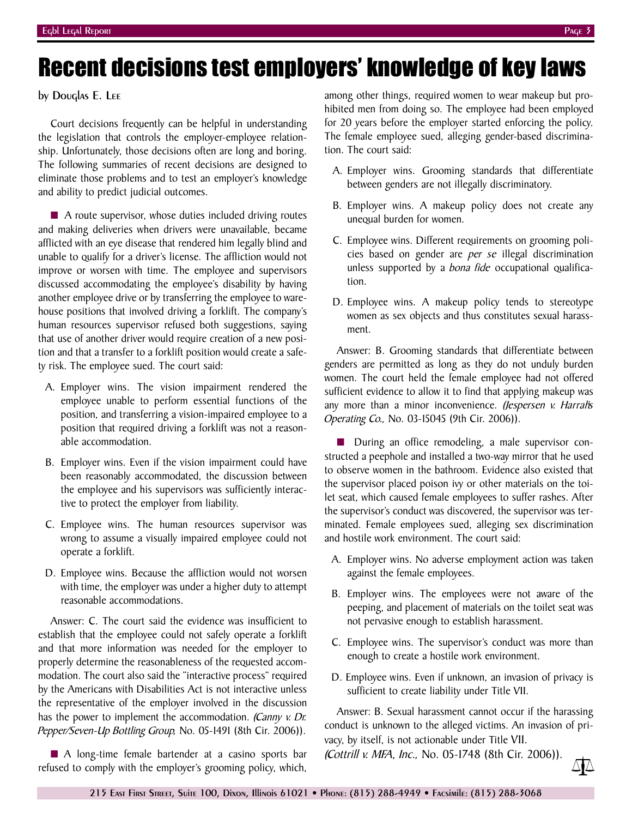# Recent decisions test employers' knowledge of key laws

by Douglas E. Lee

Court decisions frequently can be helpful in understanding the legislation that controls the employer-employee relationship. Unfortunately, those decisions often are long and boring. The following summaries of recent decisions are designed to eliminate those problems and to test an employer's knowledge and ability to predict judicial outcomes.

■ A route supervisor, whose duties included driving routes and making deliveries when drivers were unavailable, became afflicted with an eye disease that rendered him legally blind and unable to qualify for a driver's license. The affliction would not improve or worsen with time. The employee and supervisors discussed accommodating the employee's disability by having another employee drive or by transferring the employee to warehouse positions that involved driving a forklift. The company's human resources supervisor refused both suggestions, saying that use of another driver would require creation of a new position and that a transfer to a forklift position would create a safety risk. The employee sued. The court said:

- A. Employer wins. The vision impairment rendered the employee unable to perform essential functions of the position, and transferring a vision-impaired employee to a position that required driving a forklift was not a reasonable accommodation.
- B. Employer wins. Even if the vision impairment could have been reasonably accommodated, the discussion between the employee and his supervisors was sufficiently interactive to protect the employer from liability.
- C. Employee wins. The human resources supervisor was wrong to assume a visually impaired employee could not operate a forklift.
- D. Employee wins. Because the affliction would not worsen with time, the employer was under a higher duty to attempt reasonable accommodations.

Answer: C. The court said the evidence was insufficient to establish that the employee could not safely operate a forklift and that more information was needed for the employer to properly determine the reasonableness of the requested accommodation. The court also said the "interactive process" required by the Americans with Disabilities Act is not interactive unless the representative of the employer involved in the discussion has the power to implement the accommodation. *(Canny v. Dr. Pepper/Seven-Up Bottling Group,* No. 05-1491 (8th Cir. 2006)).

■ A long-time female bartender at a casino sports bar refused to comply with the employer's grooming policy, which,

among other things, required women to wear makeup but prohibited men from doing so. The employee had been employed for 20 years before the employer started enforcing the policy. The female employee sued, alleging gender-based discrimination. The court said:

- A. Employer wins. Grooming standards that differentiate between genders are not illegally discriminatory.
- B. Employer wins. A makeup policy does not create any unequal burden for women.
- C. Employee wins. Different requirements on grooming policies based on gender are *per se* illegal discrimination unless supported by a *bona fide* occupational qualification.
- D. Employee wins. A makeup policy tends to stereotype women as sex objects and thus constitutes sexual harassment.

Answer: B. Grooming standards that differentiate between genders are permitted as long as they do not unduly burden women. The court held the female employee had not offered sufficient evidence to allow it to find that applying makeup was any more than a minor inconvenience. *(Jespersen v. Harrah's Operating Co.,* No. 03-15045 (9th Cir. 2006)).

■ During an office remodeling, a male supervisor constructed a peephole and installed a two-way mirror that he used to observe women in the bathroom. Evidence also existed that the supervisor placed poison ivy or other materials on the toilet seat, which caused female employees to suffer rashes. After the supervisor's conduct was discovered, the supervisor was terminated. Female employees sued, alleging sex discrimination and hostile work environment. The court said:

- A. Employer wins. No adverse employment action was taken against the female employees.
- B. Employer wins. The employees were not aware of the peeping, and placement of materials on the toilet seat was not pervasive enough to establish harassment.
- C. Employee wins. The supervisor's conduct was more than enough to create a hostile work environment.
- D. Employee wins. Even if unknown, an invasion of privacy is sufficient to create liability under Title VII.

Answer: B. Sexual harassment cannot occur if the harassing conduct is unknown to the alleged victims. An invasion of privacy, by itself, is not actionable under Title VII.

*(Cottrill v. MFA, Inc.,* No. 05-1748 (8th Cir. 2006)).